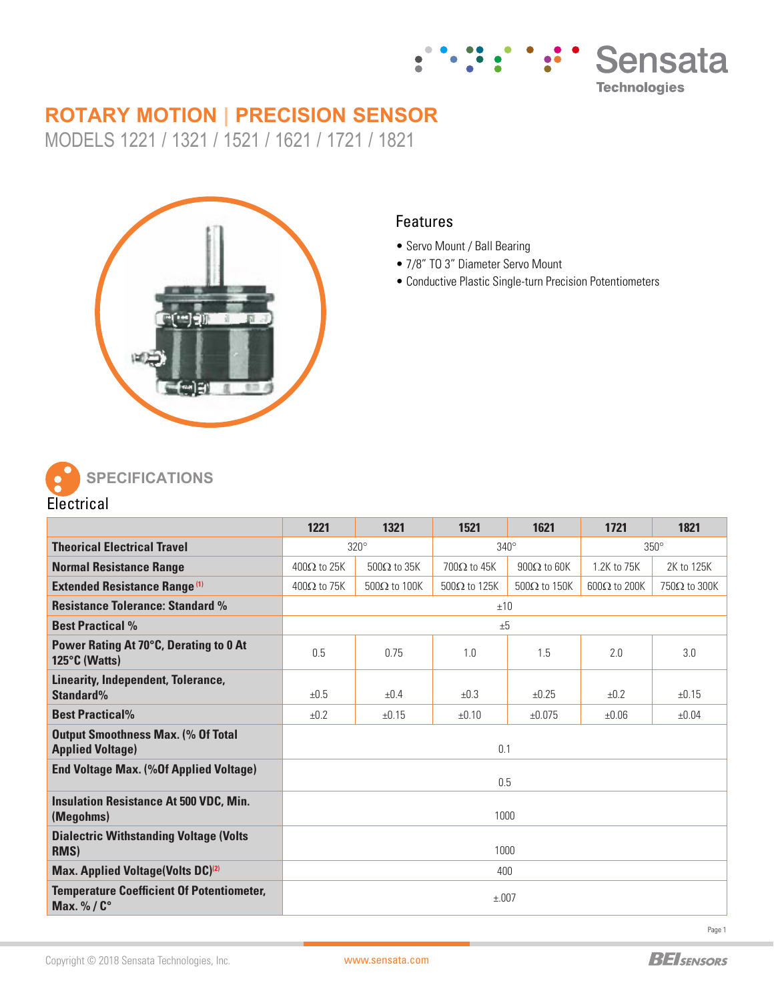

# **ROTARY MOTION | PRECISION SENSOR**

MODELS 1221 / 1321 / 1521 / 1621 / 1721 / 1821



### Features

- Servo Mount / Ball Bearing
- 7/8" TO 3" Diameter Servo Mount
- Conductive Plastic Single-turn Precision Potentiometers



|                                                                      | 1221               | 1321                | 1521                | 1621                | 1721                | 1821                |  |
|----------------------------------------------------------------------|--------------------|---------------------|---------------------|---------------------|---------------------|---------------------|--|
| <b>Theorical Electrical Travel</b>                                   | $320^\circ$        |                     | $340^\circ$         |                     | $350^\circ$         |                     |  |
| <b>Normal Resistance Range</b>                                       | $400\Omega$ to 25K | $500\Omega$ to 35K  | $700\Omega$ to 45K  | $900\Omega$ to 60K  | 1.2K to 75K         | 2K to 125K          |  |
| <b>Extended Resistance Range (1)</b>                                 | $400\Omega$ to 75K | $500\Omega$ to 100K | $500\Omega$ to 125K | $500\Omega$ to 150K | $600\Omega$ to 200K | $750\Omega$ to 300K |  |
| <b>Resistance Tolerance: Standard %</b>                              | ±10                |                     |                     |                     |                     |                     |  |
| <b>Best Practical %</b>                                              | $+5$               |                     |                     |                     |                     |                     |  |
| Power Rating At 70°C, Derating to 0 At<br>125°C (Watts)              | 0.5                | 0.75                | 1.0                 | 1.5                 | 2.0                 | 3.0                 |  |
| Linearity, Independent, Tolerance,<br>Standard%                      | ±0.5               | $+0.4$              | ±0.3                | ±0.25               | ±0.2                | ±0.15               |  |
| <b>Best Practical%</b>                                               | ±0.2               | ±0.15               | ±0.10               | ±0.075              | ±0.06               | ±0.04               |  |
| <b>Output Smoothness Max. (% Of Total</b><br><b>Applied Voltage)</b> | 0.1                |                     |                     |                     |                     |                     |  |
| <b>End Voltage Max. (%Of Applied Voltage)</b>                        | 0.5                |                     |                     |                     |                     |                     |  |
| <b>Insulation Resistance At 500 VDC, Min.</b><br>(Megohms)           | 1000               |                     |                     |                     |                     |                     |  |
| <b>Dialectric Withstanding Voltage (Volts)</b><br>RMS)               | 1000               |                     |                     |                     |                     |                     |  |
| Max. Applied Voltage(Volts DC) <sup>(2)</sup>                        | 400                |                     |                     |                     |                     |                     |  |
| <b>Temperature Coefficient Of Potentiometer,</b><br>Max. %/C°        | ±.007              |                     |                     |                     |                     |                     |  |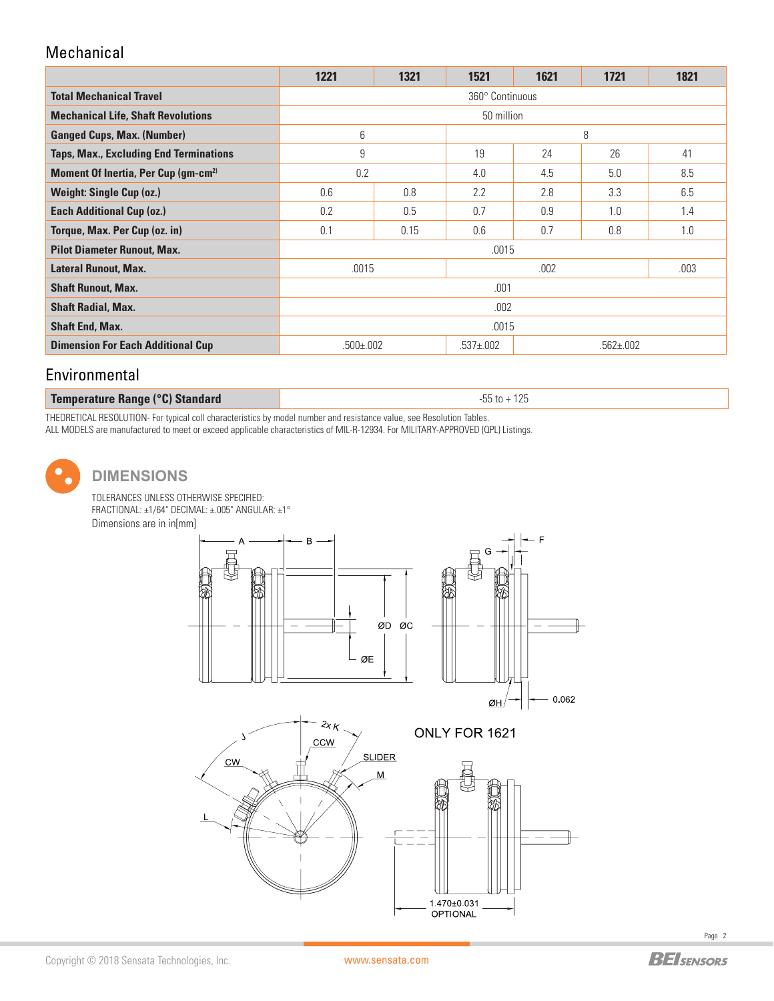# Mechanical

|                                                 | 1221                            | 1321 | 1521 | 1621            | 1721 | 1821 |  |
|-------------------------------------------------|---------------------------------|------|------|-----------------|------|------|--|
| <b>Total Mechanical Travel</b>                  | 360° Continuous                 |      |      |                 |      |      |  |
| <b>Mechanical Life, Shaft Revolutions</b>       | 50 million                      |      |      |                 |      |      |  |
| <b>Ganged Cups, Max. (Number)</b>               | 6                               |      | 8    |                 |      |      |  |
| Taps, Max., Excluding End Terminations          | 9                               |      | 19   | 24              | 26   | 41   |  |
| Moment Of Inertia, Per Cup (gm-cm <sup>2)</sup> | 0.2                             |      | 4.0  | 4.5             | 5.0  | 8.5  |  |
| <b>Weight: Single Cup (oz.)</b>                 | 0.6                             | 0.8  | 2.2  | 2.8             | 3.3  | 6.5  |  |
| <b>Each Additional Cup (oz.)</b>                | 0.2                             | 0.5  | 0.7  | 0.9             | 1.0  | 1.4  |  |
| Torque, Max. Per Cup (oz. in)                   | 0.1                             | 0.15 | 0.6  | 0.7             | 0.8  | 1.0  |  |
| <b>Pilot Diameter Runout, Max.</b>              | .0015                           |      |      |                 |      |      |  |
| <b>Lateral Runout, Max.</b>                     | .0015                           |      | .002 |                 |      | .003 |  |
| <b>Shaft Runout, Max.</b>                       | .001                            |      |      |                 |      |      |  |
| <b>Shaft Radial, Max.</b>                       | .002                            |      |      |                 |      |      |  |
| <b>Shaft End, Max.</b>                          | .0015                           |      |      |                 |      |      |  |
| <b>Dimension For Each Additional Cup</b>        | $.500 \pm 002$<br>$.537 + .002$ |      |      | $.562 \pm .002$ |      |      |  |

# Environmental

#### **Temperature Range (°C) Standard -55** to + 125

THEORETICAL RESOLUTION- For typical coll characteristics by model number and resistance value, see Resolution Tables. ALL MODELS are manufactured to meet or exceed applicable characteristics of MIL-R-12934. For MILITARY-APPROVED (QPL) Listings.

## **DIMENSIONS**

TOLERANCES UNLESS OTHERWISE SPECIFIED: FRACTIONAL: ±1/64" DECIMAL: ±.005" ANGULAR: ±1° Dimensions are in in[mm]